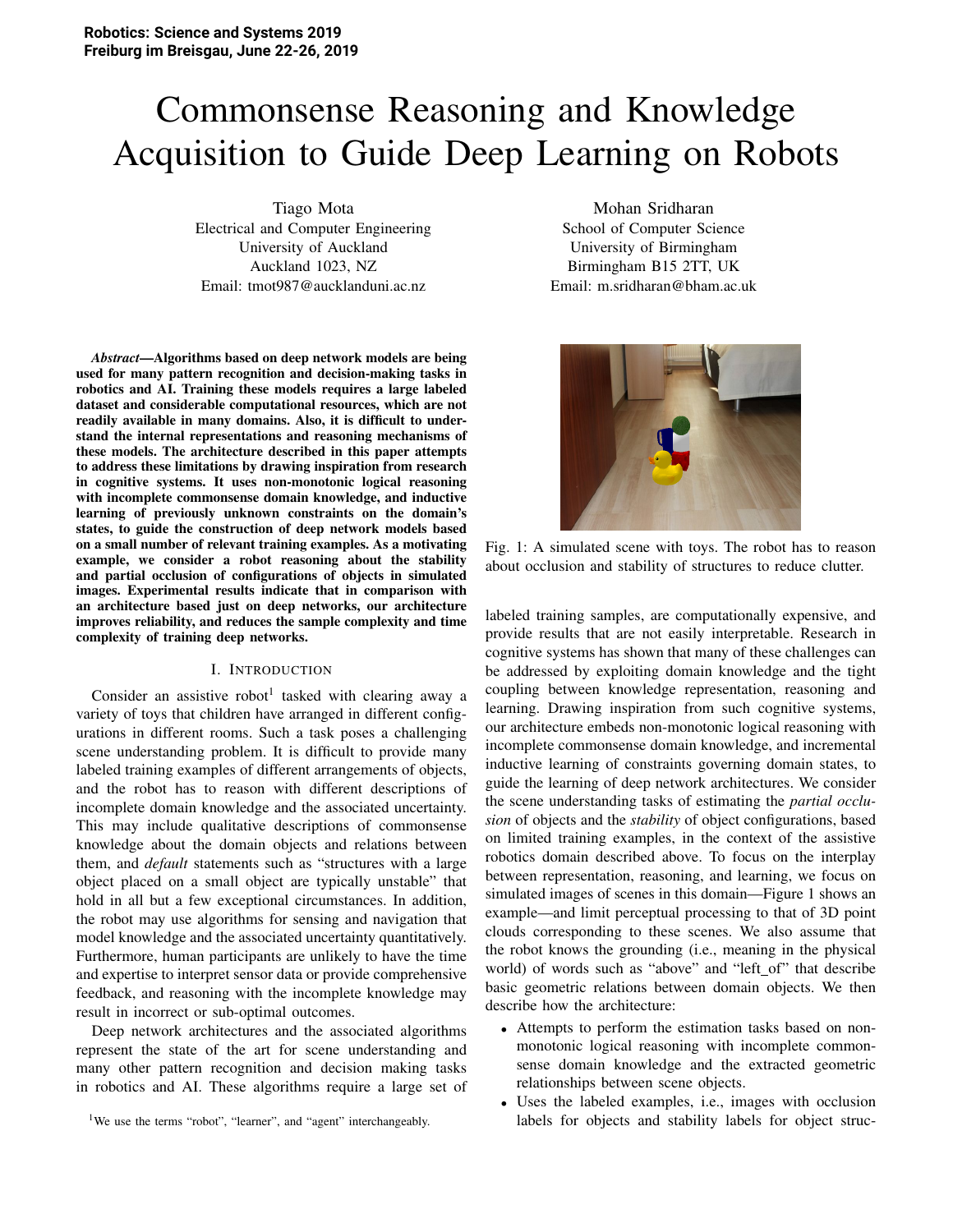# Commonsense Reasoning and Knowledge Acquisition to Guide Deep Learning on Robots

Tiago Mota Electrical and Computer Engineering University of Auckland Auckland 1023, NZ Email: tmot987@aucklanduni.ac.nz

*Abstract*—Algorithms based on deep network models are being used for many pattern recognition and decision-making tasks in robotics and AI. Training these models requires a large labeled dataset and considerable computational resources, which are not readily available in many domains. Also, it is difficult to understand the internal representations and reasoning mechanisms of these models. The architecture described in this paper attempts to address these limitations by drawing inspiration from research in cognitive systems. It uses non-monotonic logical reasoning with incomplete commonsense domain knowledge, and inductive learning of previously unknown constraints on the domain's states, to guide the construction of deep network models based on a small number of relevant training examples. As a motivating example, we consider a robot reasoning about the stability and partial occlusion of configurations of objects in simulated images. Experimental results indicate that in comparison with an architecture based just on deep networks, our architecture improves reliability, and reduces the sample complexity and time complexity of training deep networks.

# I. INTRODUCTION

Consider an assistive robot<sup>1</sup> tasked with clearing away a variety of toys that children have arranged in different configurations in different rooms. Such a task poses a challenging scene understanding problem. It is difficult to provide many labeled training examples of different arrangements of objects, and the robot has to reason with different descriptions of incomplete domain knowledge and the associated uncertainty. This may include qualitative descriptions of commonsense knowledge about the domain objects and relations between them, and *default* statements such as "structures with a large object placed on a small object are typically unstable" that hold in all but a few exceptional circumstances. In addition, the robot may use algorithms for sensing and navigation that model knowledge and the associated uncertainty quantitatively. Furthermore, human participants are unlikely to have the time and expertise to interpret sensor data or provide comprehensive feedback, and reasoning with the incomplete knowledge may result in incorrect or sub-optimal outcomes.

Deep network architectures and the associated algorithms represent the state of the art for scene understanding and many other pattern recognition and decision making tasks in robotics and AI. These algorithms require a large set of

Mohan Sridharan School of Computer Science University of Birmingham Birmingham B15 2TT, UK Email: m.sridharan@bham.ac.uk



Fig. 1: A simulated scene with toys. The robot has to reason about occlusion and stability of structures to reduce clutter.

labeled training samples, are computationally expensive, and provide results that are not easily interpretable. Research in cognitive systems has shown that many of these challenges can be addressed by exploiting domain knowledge and the tight coupling between knowledge representation, reasoning and learning. Drawing inspiration from such cognitive systems, our architecture embeds non-monotonic logical reasoning with incomplete commonsense domain knowledge, and incremental inductive learning of constraints governing domain states, to guide the learning of deep network architectures. We consider the scene understanding tasks of estimating the *partial occlusion* of objects and the *stability* of object configurations, based on limited training examples, in the context of the assistive robotics domain described above. To focus on the interplay between representation, reasoning, and learning, we focus on simulated images of scenes in this domain—Figure 1 shows an example—and limit perceptual processing to that of 3D point clouds corresponding to these scenes. We also assume that the robot knows the grounding (i.e., meaning in the physical world) of words such as "above" and "left\_of" that describe basic geometric relations between domain objects. We then describe how the architecture:

- Attempts to perform the estimation tasks based on nonmonotonic logical reasoning with incomplete commonsense domain knowledge and the extracted geometric relationships between scene objects.
- Uses the labeled examples, i.e., images with occlusion labels for objects and stability labels for object struc-

<sup>&</sup>lt;sup>1</sup>We use the terms "robot", "learner", and "agent" interchangeably.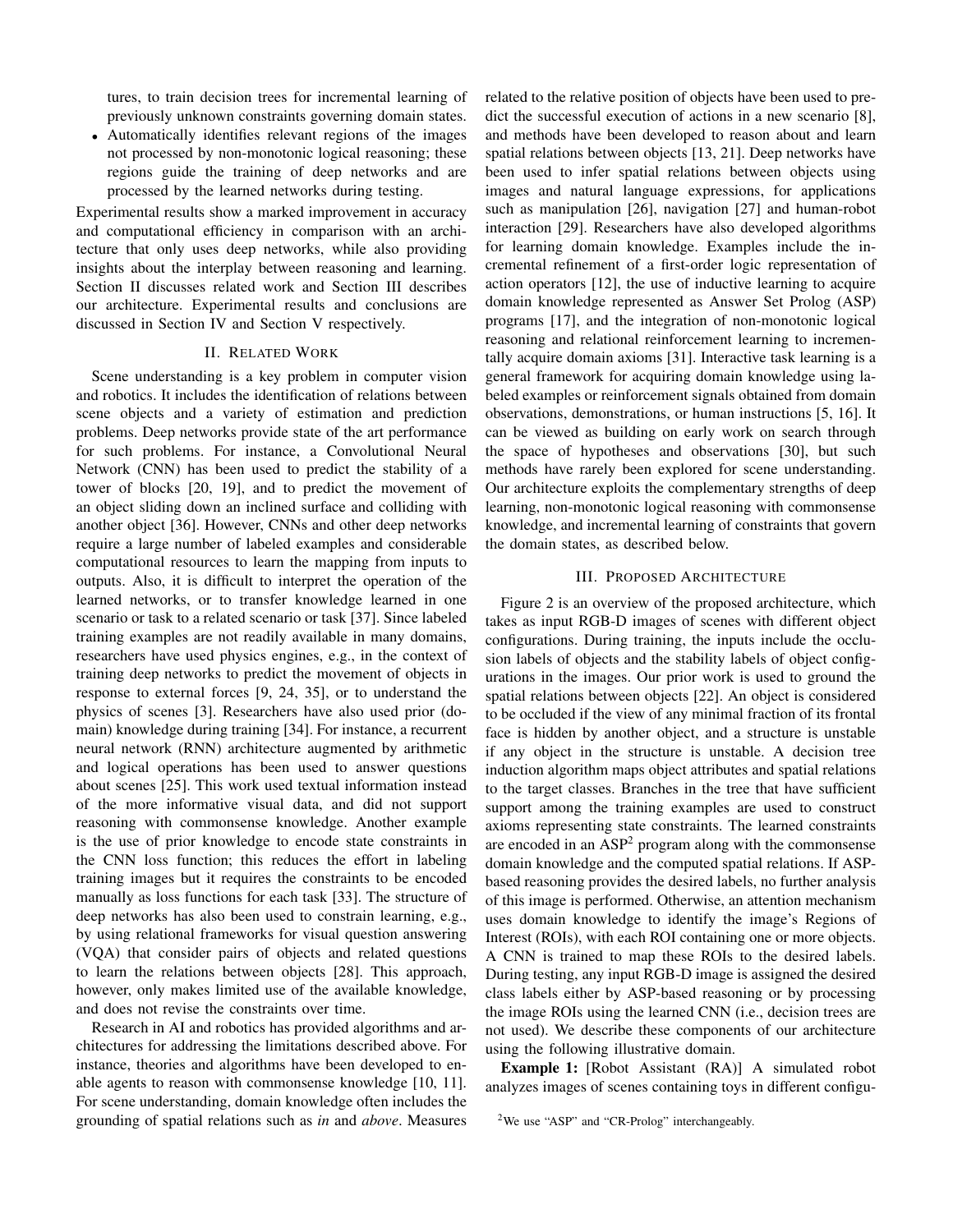tures, to train decision trees for incremental learning of previously unknown constraints governing domain states.

• Automatically identifies relevant regions of the images not processed by non-monotonic logical reasoning; these regions guide the training of deep networks and are processed by the learned networks during testing.

Experimental results show a marked improvement in accuracy and computational efficiency in comparison with an architecture that only uses deep networks, while also providing insights about the interplay between reasoning and learning. Section II discusses related work and Section III describes our architecture. Experimental results and conclusions are discussed in Section IV and Section V respectively.

## **II. RELATED WORK**

Scene understanding is a key problem in computer vision and robotics. It includes the identification of relations between scene objects and a variety of estimation and prediction problems. Deep networks provide state of the art performance for such problems. For instance, a Convolutional Neural Network (CNN) has been used to predict the stability of a tower of blocks [20, 19], and to predict the movement of an object sliding down an inclined surface and colliding with another object [36]. However, CNNs and other deep networks require a large number of labeled examples and considerable computational resources to learn the mapping from inputs to outputs. Also, it is difficult to interpret the operation of the learned networks, or to transfer knowledge learned in one scenario or task to a related scenario or task [37]. Since labeled training examples are not readily available in many domains, researchers have used physics engines, e.g., in the context of training deep networks to predict the movement of objects in response to external forces  $[9, 24, 35]$ , or to understand the physics of scenes [3]. Researchers have also used prior (domain) knowledge during training [34]. For instance, a recurrent neural network (RNN) architecture augmented by arithmetic and logical operations has been used to answer questions about scenes [25]. This work used textual information instead of the more informative visual data, and did not support reasoning with commonsense knowledge. Another example is the use of prior knowledge to encode state constraints in the CNN loss function; this reduces the effort in labeling training images but it requires the constraints to be encoded manually as loss functions for each task [33]. The structure of deep networks has also been used to constrain learning, e.g., by using relational frameworks for visual question answering (VQA) that consider pairs of objects and related questions to learn the relations between objects [28]. This approach, however, only makes limited use of the available knowledge, and does not revise the constraints over time.

Research in AI and robotics has provided algorithms and architectures for addressing the limitations described above. For instance, theories and algorithms have been developed to enable agents to reason with commonsense knowledge [10, 11]. For scene understanding, domain knowledge often includes the grounding of spatial relations such as in and above. Measures related to the relative position of objects have been used to predict the successful execution of actions in a new scenario [8], and methods have been developed to reason about and learn spatial relations between objects [13, 21]. Deep networks have been used to infer spatial relations between objects using images and natural language expressions, for applications such as manipulation [26], navigation [27] and human-robot interaction [29]. Researchers have also developed algorithms for learning domain knowledge. Examples include the incremental refinement of a first-order logic representation of action operators [12], the use of inductive learning to acquire domain knowledge represented as Answer Set Prolog (ASP) programs [17], and the integration of non-monotonic logical reasoning and relational reinforcement learning to incrementally acquire domain axioms [31]. Interactive task learning is a general framework for acquiring domain knowledge using labeled examples or reinforcement signals obtained from domain observations, demonstrations, or human instructions [5, 16]. It can be viewed as building on early work on search through the space of hypotheses and observations [30], but such methods have rarely been explored for scene understanding. Our architecture exploits the complementary strengths of deep learning, non-monotonic logical reasoning with commonsense knowledge, and incremental learning of constraints that govern the domain states, as described below.

## **III. PROPOSED ARCHITECTURE**

Figure 2 is an overview of the proposed architecture, which takes as input RGB-D images of scenes with different object configurations. During training, the inputs include the occlusion labels of objects and the stability labels of object configurations in the images. Our prior work is used to ground the spatial relations between objects [22]. An object is considered to be occluded if the view of any minimal fraction of its frontal face is hidden by another object, and a structure is unstable if any object in the structure is unstable. A decision tree induction algorithm maps object attributes and spatial relations to the target classes. Branches in the tree that have sufficient support among the training examples are used to construct axioms representing state constraints. The learned constraints are encoded in an  $ASP^2$  program along with the commonsense domain knowledge and the computed spatial relations. If ASPbased reasoning provides the desired labels, no further analysis of this image is performed. Otherwise, an attention mechanism uses domain knowledge to identify the image's Regions of Interest (ROIs), with each ROI containing one or more objects. A CNN is trained to map these ROIs to the desired labels. During testing, any input RGB-D image is assigned the desired class labels either by ASP-based reasoning or by processing the image ROIs using the learned CNN (*i.e.*, decision trees are not used). We describe these components of our architecture using the following illustrative domain.

**Example 1:** [Robot Assistant (RA)] A simulated robot analyzes images of scenes containing toys in different configu-

<sup>&</sup>lt;sup>2</sup>We use "ASP" and "CR-Prolog" interchangeably.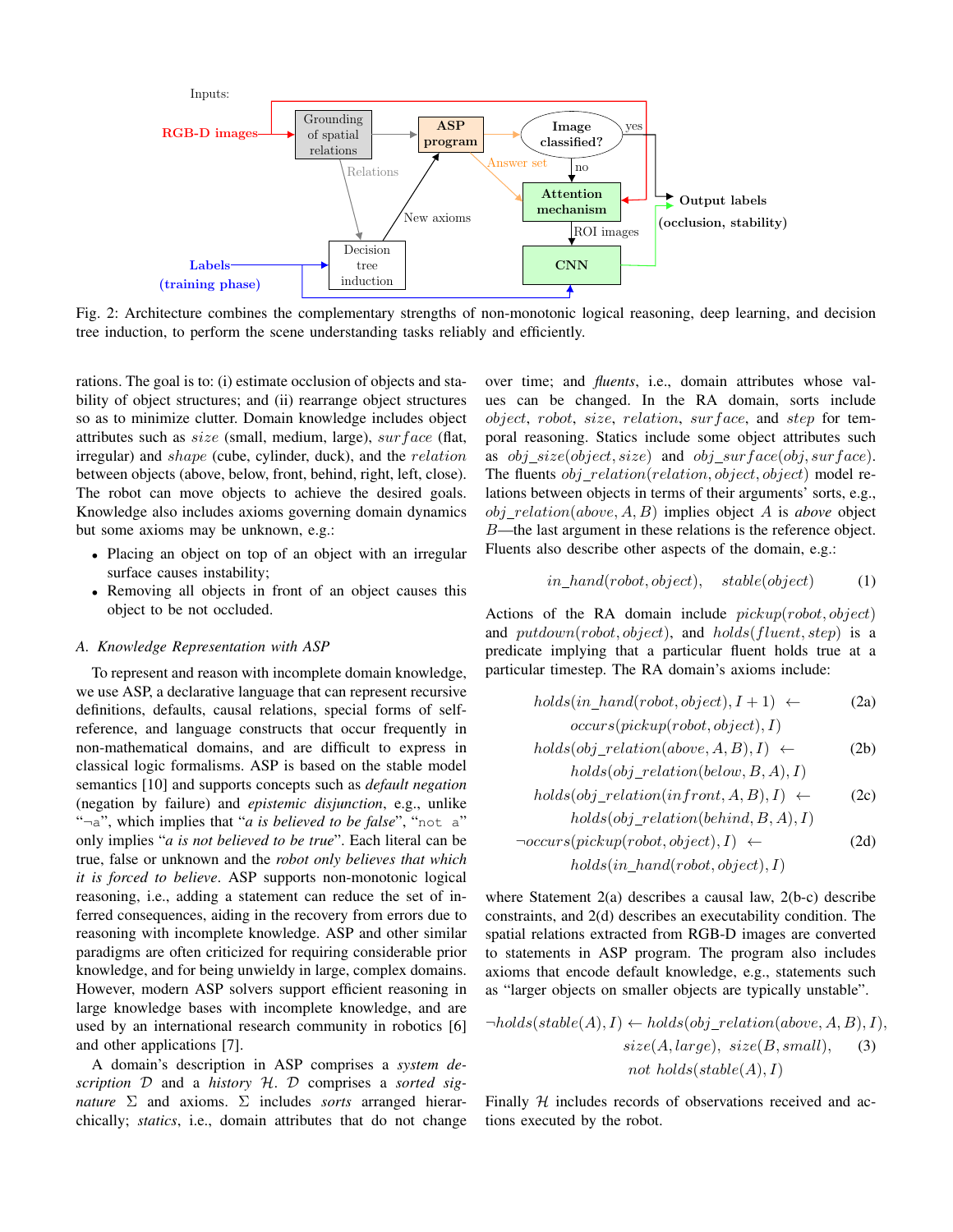

Fig. 2: Architecture combines the complementary strengths of non-monotonic logical reasoning, deep learning, and decision tree induction, to perform the scene understanding tasks reliably and efficiently.

rations. The goal is to: (i) estimate occlusion of objects and stability of object structures; and (ii) rearrange object structures so as to minimize clutter. Domain knowledge includes object attributes such as size (small, medium, large), surface (flat, irregular) and shape (cube, cylinder, duck), and the *relation* between objects (above, below, front, behind, right, left, close). The robot can move objects to achieve the desired goals. Knowledge also includes axioms governing domain dynamics but some axioms may be unknown, e.g.:

- Placing an object on top of an object with an irregular surface causes instability;
- Removing all objects in front of an object causes this  $\bullet$ object to be not occluded.

### A. Knowledge Representation with ASP

To represent and reason with incomplete domain knowledge, we use ASP, a declarative language that can represent recursive definitions, defaults, causal relations, special forms of selfreference, and language constructs that occur frequently in non-mathematical domains, and are difficult to express in classical logic formalisms. ASP is based on the stable model semantics [10] and supports concepts such as *default negation* (negation by failure) and epistemic disjunction, e.g., unlike " $\neg a$ ", which implies that "*a is believed to be false*", "not a" only implies "a is not believed to be true". Each literal can be true, false or unknown and the robot only believes that which *it is forced to believe.* ASP supports non-monotonic logical reasoning, i.e., adding a statement can reduce the set of inferred consequences, aiding in the recovery from errors due to reasoning with incomplete knowledge. ASP and other similar paradigms are often criticized for requiring considerable prior knowledge, and for being unwieldy in large, complex domains. However, modern ASP solvers support efficient reasoning in large knowledge bases with incomplete knowledge, and are used by an international research community in robotics [6] and other applications [7].

A domain's description in ASP comprises a system description  $D$  and a history  $H.$   $D$  comprises a sorted signature  $\Sigma$  and axioms.  $\Sigma$  includes sorts arranged hierarchically; statics, i.e., domain attributes that do not change

over time; and *fluents*, *i.e.*, domain attributes whose values can be changed. In the RA domain, sorts include object, robot, size, relation, surface, and step for temporal reasoning. Statics include some object attributes such as *obj*  $size(object, size)$  and *obj*  $surface(obj, surface)$ . The fluents  $obj$  relation(relation, object, object) model relations between objects in terms of their arguments' sorts, e.g.,  $obj\_relation(above, A, B)$  implies object A is above object  $B$ —the last argument in these relations is the reference object. Fluents also describe other aspects of the domain, e.g.:

$$
in\_hand(robot, object), \quad stable(object) \tag{1}
$$

Actions of the RA domain include  $pickup(robot, object)$ and  $putdown(robot, object)$ , and  $holds(fluent, step)$  is a predicate implying that a particular fluent holds true at a particular timestep. The RA domain's axioms include:

$$
holds(in\_hand(robot, object), I + 1) \leftarrow \ncccurs(pickup(robot, object), I)
$$
\n(2a)

$$
holds(obj\_relation(above, A, B), I) \leftarrow \qquad (2b)
$$
\n
$$
holds(obj\_relation(below B, A), I)
$$

$$
holds(obj\_relation(infront, A, B), I) \leftarrow \text{(2c)}
$$
  

$$
holds(obj\_relation(behind, B, A), I)
$$

$$
\neg occurs(pickup(root, object), I) \leftarrow \text{holds}(in\_hand(root, object), I)
$$
\n(2d)

where Statement  $2(a)$  describes a causal law,  $2(b-c)$  describe constraints, and 2(d) describes an executability condition. The spatial relations extracted from RGB-D images are converted to statements in ASP program. The program also includes axioms that encode default knowledge, e.g., statements such as "larger objects on smaller objects are typically unstable".

$$
\neg holds(state(A), I) \leftarrow holds(obj\_relation(above, A, B), I),
$$
  

$$
size(A, large), size(B, small),
$$
  

$$
not holds(state(A), I)
$$

Finally  $H$  includes records of observations received and actions executed by the robot.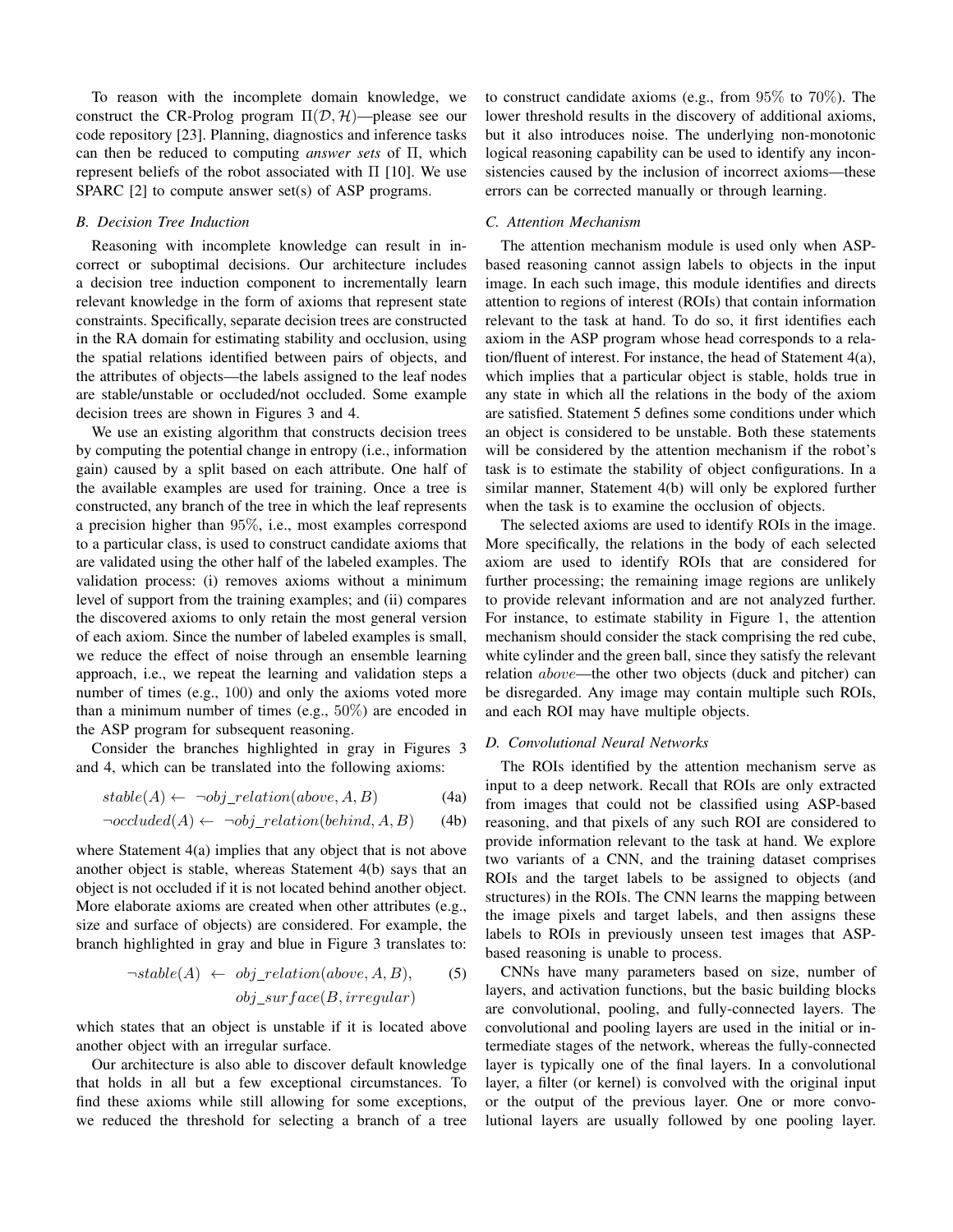To reason with the incomplete domain knowledge, we construct the CR-Prolog program  $\Pi(\mathcal{D}, \mathcal{H})$ —please see our code repository [23]. Planning, diagnostics and inference tasks can then be reduced to computing *answer sets* of  $\Pi$ , which represent beliefs of the robot associated with  $\Pi$  [10]. We use SPARC  $[2]$  to compute answer set(s) of ASP programs.

## **B.** Decision Tree Induction

Reasoning with incomplete knowledge can result in incorrect or suboptimal decisions. Our architecture includes a decision tree induction component to incrementally learn relevant knowledge in the form of axioms that represent state constraints. Specifically, separate decision trees are constructed in the RA domain for estimating stability and occlusion, using the spatial relations identified between pairs of objects, and the attributes of objects—the labels assigned to the leaf nodes are stable/unstable or occluded/not occluded. Some example decision trees are shown in Figures 3 and 4.

We use an existing algorithm that constructs decision trees by computing the potential change in entropy (i.e., information gain) caused by a split based on each attribute. One half of the available examples are used for training. Once a tree is constructed, any branch of the tree in which the leaf represents a precision higher than  $95\%$ , i.e., most examples correspond to a particular class, is used to construct candidate axioms that are validated using the other half of the labeled examples. The validation process: (i) removes axioms without a minimum level of support from the training examples; and (ii) compares the discovered axioms to only retain the most general version of each axiom. Since the number of labeled examples is small, we reduce the effect of noise through an ensemble learning approach, i.e., we repeat the learning and validation steps a number of times (e.g., 100) and only the axioms voted more than a minimum number of times (e.g.,  $50\%$ ) are encoded in the ASP program for subsequent reasoning.

Consider the branches highlighted in gray in Figures 3 and 4, which can be translated into the following axioms:

$$
stable(A) \leftarrow \neg obj\_relation(above, A, B) \tag{4a}
$$

$$
\neg occluded(A) \leftarrow \neg obj\_relation(behind, A, B) \tag{4b}
$$

where Statement  $4(a)$  implies that any object that is not above another object is stable, whereas Statement 4(b) says that an object is not occluded if it is not located behind another object. More elaborate axioms are created when other attributes (e.g., size and surface of objects) are considered. For example, the branch highlighted in gray and blue in Figure 3 translates to:

$$
\neg stable(A) \leftarrow obj\_relation(above, A, B),
$$
  

$$
obj\_surface(B, irregular)
$$
 (5)

which states that an object is unstable if it is located above another object with an irregular surface.

Our architecture is also able to discover default knowledge that holds in all but a few exceptional circumstances. To find these axioms while still allowing for some exceptions, we reduced the threshold for selecting a branch of a tree to construct candidate axioms (e.g., from  $95\%$  to  $70\%$ ). The lower threshold results in the discovery of additional axioms, but it also introduces noise. The underlying non-monotonic logical reasoning capability can be used to identify any inconsistencies caused by the inclusion of incorrect axioms-these errors can be corrected manually or through learning.

## C. Attention Mechanism

The attention mechanism module is used only when ASPbased reasoning cannot assign labels to objects in the input image. In each such image, this module identifies and directs attention to regions of interest (ROIs) that contain information relevant to the task at hand. To do so, it first identifies each axiom in the ASP program whose head corresponds to a relation/fluent of interest. For instance, the head of Statement 4(a), which implies that a particular object is stable, holds true in any state in which all the relations in the body of the axiom are satisfied. Statement 5 defines some conditions under which an object is considered to be unstable. Both these statements will be considered by the attention mechanism if the robot's task is to estimate the stability of object configurations. In a similar manner, Statement 4(b) will only be explored further when the task is to examine the occlusion of objects.

The selected axioms are used to identify ROIs in the image. More specifically, the relations in the body of each selected axiom are used to identify ROIs that are considered for further processing; the remaining image regions are unlikely to provide relevant information and are not analyzed further. For instance, to estimate stability in Figure 1, the attention mechanism should consider the stack comprising the red cube, white cylinder and the green ball, since they satisfy the relevant relation *above*—the other two objects (duck and pitcher) can be disregarded. Any image may contain multiple such ROIs, and each ROI may have multiple objects.

# D. Convolutional Neural Networks

The ROIs identified by the attention mechanism serve as input to a deep network. Recall that ROIs are only extracted from images that could not be classified using ASP-based reasoning, and that pixels of any such ROI are considered to provide information relevant to the task at hand. We explore two variants of a CNN, and the training dataset comprises ROIs and the target labels to be assigned to objects (and structures) in the ROIs. The CNN learns the mapping between the image pixels and target labels, and then assigns these labels to ROIs in previously unseen test images that ASPbased reasoning is unable to process.

CNNs have many parameters based on size, number of layers, and activation functions, but the basic building blocks are convolutional, pooling, and fully-connected layers. The convolutional and pooling layers are used in the initial or intermediate stages of the network, whereas the fully-connected layer is typically one of the final layers. In a convolutional layer, a filter (or kernel) is convolved with the original input or the output of the previous layer. One or more convolutional layers are usually followed by one pooling layer.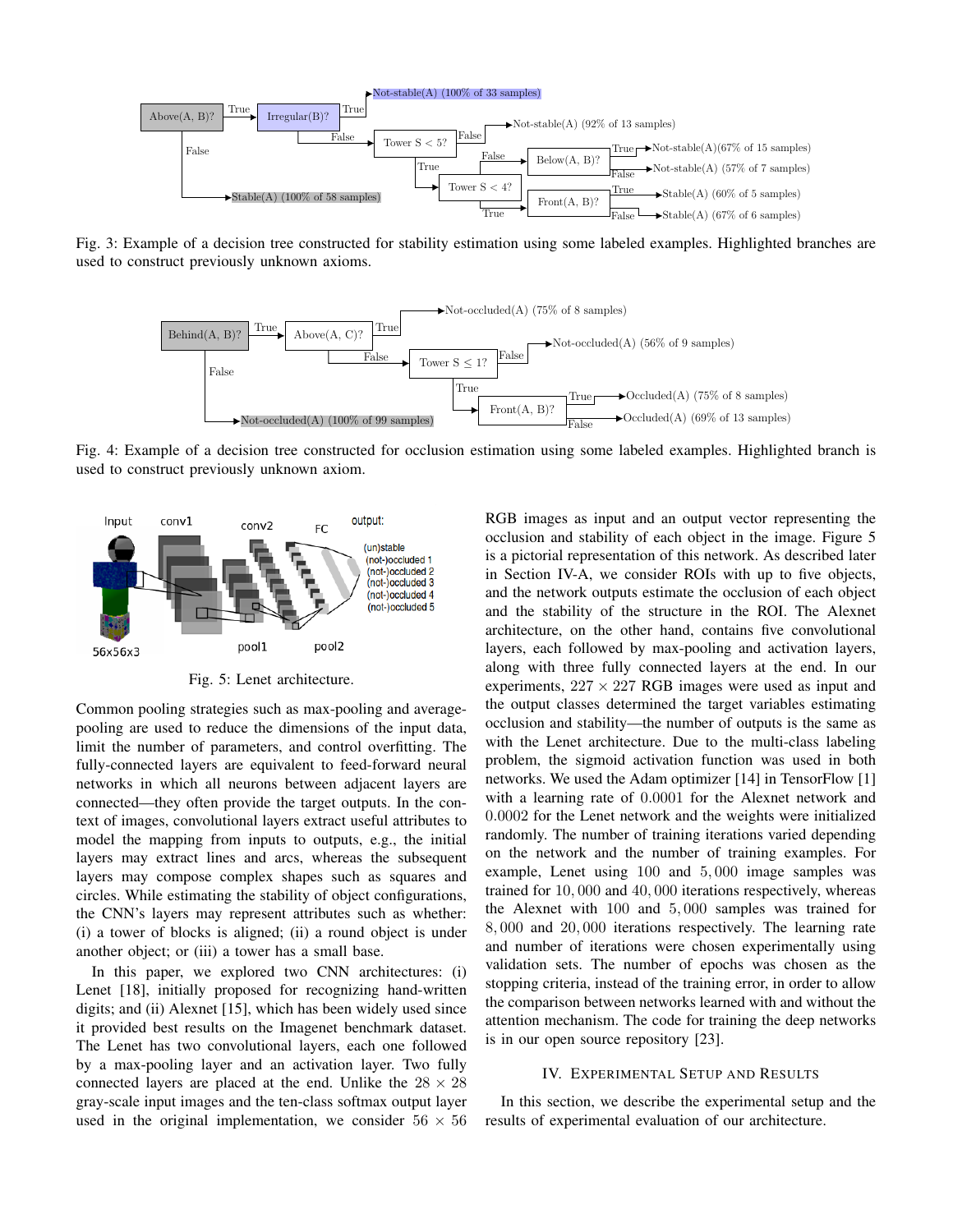

Fig. 3: Example of a decision tree constructed for stability estimation using some labeled examples. Highlighted branches are used to construct previously unknown axioms.



Fig. 4: Example of a decision tree constructed for occlusion estimation using some labeled examples. Highlighted branch is used to construct previously unknown axiom.



Fig. 5: Lenet architecture.

Common pooling strategies such as max-pooling and averagepooling are used to reduce the dimensions of the input data, limit the number of parameters, and control overfitting. The fully-connected layers are equivalent to feed-forward neural networks in which all neurons between adjacent layers are connected—they often provide the target outputs. In the context of images, convolutional layers extract useful attributes to model the mapping from inputs to outputs, e.g., the initial layers may extract lines and arcs, whereas the subsequent layers may compose complex shapes such as squares and circles. While estimating the stability of object configurations, the CNN's layers may represent attributes such as whether: (i) a tower of blocks is aligned; (ii) a round object is under another object; or (iii) a tower has a small base.

In this paper, we explored two CNN architectures: (i) Lenet [18], initially proposed for recognizing hand-written digits; and (ii) Alexnet [15], which has been widely used since it provided best results on the Imagenet benchmark dataset. The Lenet has two convolutional layers, each one followed by a max-pooling layer and an activation layer. Two fully connected layers are placed at the end. Unlike the  $28 \times 28$ gray-scale input images and the ten-class softmax output layer used in the original implementation, we consider  $56 \times 56$  RGB images as input and an output vector representing the occlusion and stability of each object in the image. Figure 5 is a pictorial representation of this network. As described later in Section IV-A, we consider ROIs with up to five objects, and the network outputs estimate the occlusion of each object and the stability of the structure in the ROI. The Alexnet architecture, on the other hand, contains five convolutional layers, each followed by max-pooling and activation layers, along with three fully connected layers at the end. In our experiments,  $227 \times 227$  RGB images were used as input and the output classes determined the target variables estimating occlusion and stability—the number of outputs is the same as with the Lenet architecture. Due to the multi-class labeling problem, the sigmoid activation function was used in both networks. We used the Adam optimizer [14] in TensorFlow [1] with a learning rate of 0.0001 for the Alexnet network and 0.0002 for the Lenet network and the weights were initialized randomly. The number of training iterations varied depending on the network and the number of training examples. For example, Lenet using 100 and 5,000 image samples was trained for  $10,000$  and  $40,000$  iterations respectively, whereas the Alexnet with  $100$  and  $5,000$  samples was trained for 8,000 and 20,000 iterations respectively. The learning rate and number of iterations were chosen experimentally using validation sets. The number of epochs was chosen as the stopping criteria, instead of the training error, in order to allow the comparison between networks learned with and without the attention mechanism. The code for training the deep networks is in our open source repository [23].

#### **IV. EXPERIMENTAL SETUP AND RESULTS**

In this section, we describe the experimental setup and the results of experimental evaluation of our architecture.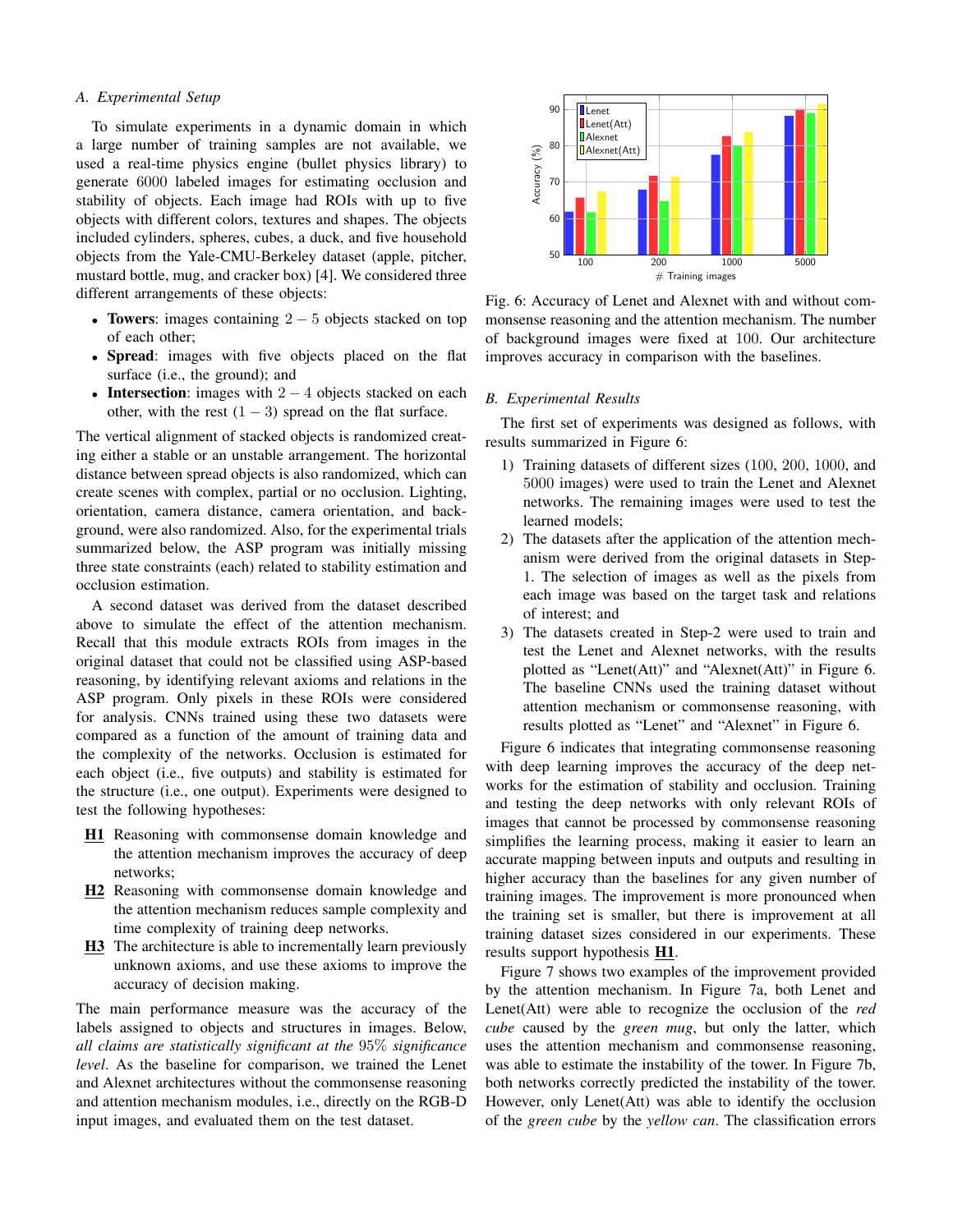## A. Experimental Setup

To simulate experiments in a dynamic domain in which a large number of training samples are not available, we used a real-time physics engine (bullet physics library) to generate 6000 labeled images for estimating occlusion and stability of objects. Each image had ROIs with up to five objects with different colors, textures and shapes. The objects included cylinders, spheres, cubes, a duck, and five household objects from the Yale-CMU-Berkeley dataset (apple, pitcher, mustard bottle, mug, and cracker box) [4]. We considered three different arrangements of these objects:

- Towers: images containing  $2-5$  objects stacked on top of each other:
- Spread: images with five objects placed on the flat surface (i.e., the ground); and
- Intersection: images with  $2 4$  objects stacked on each other, with the rest  $(1 - 3)$  spread on the flat surface.

The vertical alignment of stacked objects is randomized creating either a stable or an unstable arrangement. The horizontal distance between spread objects is also randomized, which can create scenes with complex, partial or no occlusion. Lighting, orientation, camera distance, camera orientation, and background, were also randomized. Also, for the experimental trials summarized below, the ASP program was initially missing three state constraints (each) related to stability estimation and occlusion estimation.

A second dataset was derived from the dataset described above to simulate the effect of the attention mechanism. Recall that this module extracts ROIs from images in the original dataset that could not be classified using ASP-based reasoning, by identifying relevant axioms and relations in the ASP program. Only pixels in these ROIs were considered for analysis. CNNs trained using these two datasets were compared as a function of the amount of training data and the complexity of the networks. Occlusion is estimated for each object (i.e., five outputs) and stability is estimated for the structure (*i.e.*, one output). Experiments were designed to test the following hypotheses:

- H1 Reasoning with commonsense domain knowledge and the attention mechanism improves the accuracy of deep networks;
- H<sub>2</sub> Reasoning with commonsense domain knowledge and the attention mechanism reduces sample complexity and time complexity of training deep networks.
- H3 The architecture is able to incrementally learn previously unknown axioms, and use these axioms to improve the accuracy of decision making.

The main performance measure was the accuracy of the labels assigned to objects and structures in images. Below, all claims are statistically significant at the  $95\%$  significance level. As the baseline for comparison, we trained the Lenet and Alexnet architectures without the commonsense reasoning and attention mechanism modules, i.e., directly on the RGB-D input images, and evaluated them on the test dataset.



Fig. 6: Accuracy of Lenet and Alexnet with and without commonsense reasoning and the attention mechanism. The number of background images were fixed at 100. Our architecture improves accuracy in comparison with the baselines.

#### **B.** Experimental Results

The first set of experiments was designed as follows, with results summarized in Figure 6:

- 1) Training datasets of different sizes (100, 200, 1000, and 5000 images) were used to train the Lenet and Alexnet networks. The remaining images were used to test the learned models;
- 2) The datasets after the application of the attention mechanism were derived from the original datasets in Step-1. The selection of images as well as the pixels from each image was based on the target task and relations of interest; and
- 3) The datasets created in Step-2 were used to train and test the Lenet and Alexnet networks, with the results plotted as "Lenet(Att)" and "Alexnet(Att)" in Figure 6. The baseline CNNs used the training dataset without attention mechanism or commonsense reasoning, with results plotted as "Lenet" and "Alexnet" in Figure 6.

Figure 6 indicates that integrating commonsense reasoning with deep learning improves the accuracy of the deep networks for the estimation of stability and occlusion. Training and testing the deep networks with only relevant ROIs of images that cannot be processed by commonsense reasoning simplifies the learning process, making it easier to learn an accurate mapping between inputs and outputs and resulting in higher accuracy than the baselines for any given number of training images. The improvement is more pronounced when the training set is smaller, but there is improvement at all training dataset sizes considered in our experiments. These results support hypothesis H1.

Figure 7 shows two examples of the improvement provided by the attention mechanism. In Figure 7a, both Lenet and Lenet(Att) were able to recognize the occlusion of the red cube caused by the green mug, but only the latter, which uses the attention mechanism and commonsense reasoning, was able to estimate the instability of the tower. In Figure 7b, both networks correctly predicted the instability of the tower. However, only Lenet(Att) was able to identify the occlusion of the green cube by the yellow can. The classification errors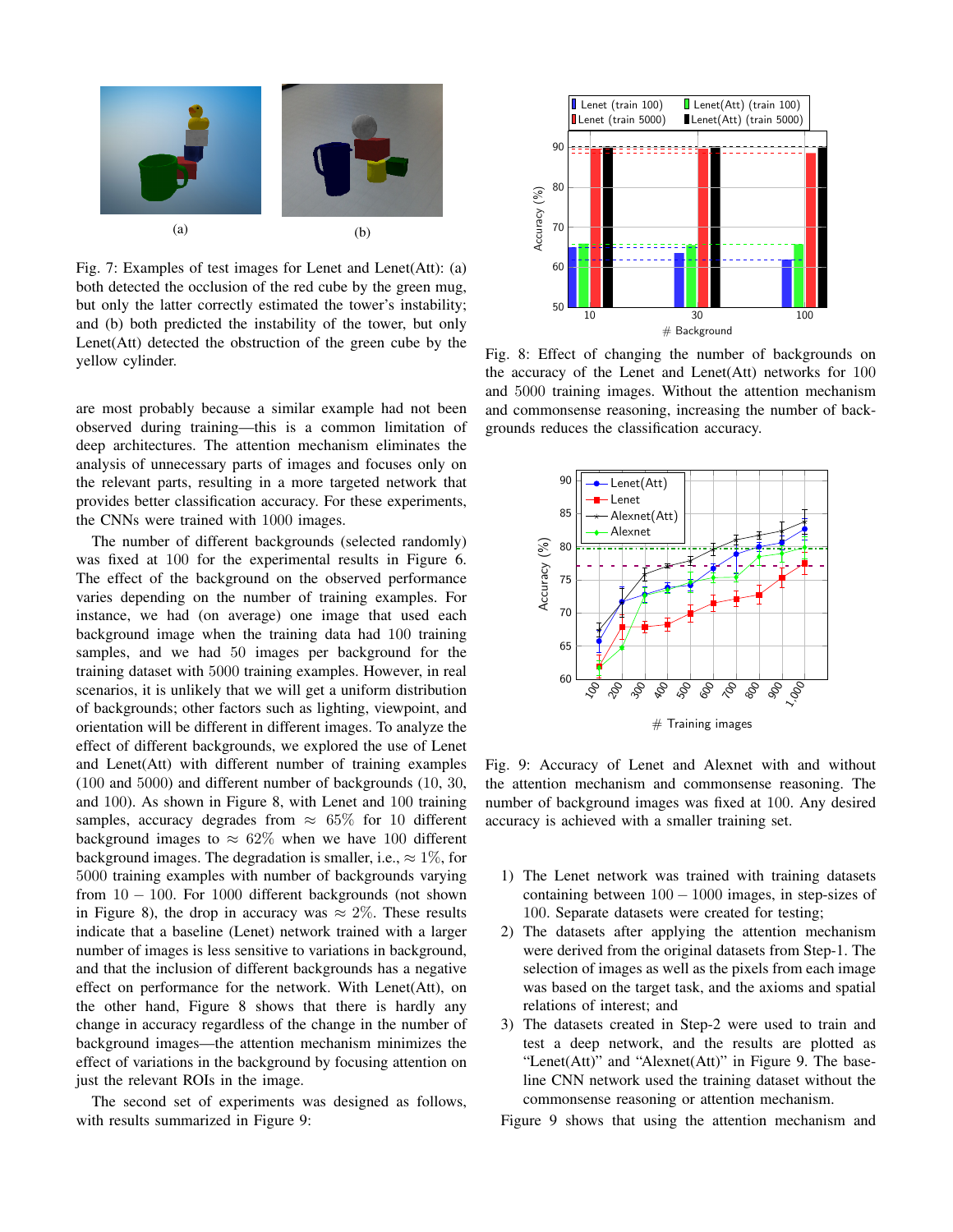

Fig. 7: Examples of test images for Lenet and Lenet(Att): (a) both detected the occlusion of the red cube by the green mug, but only the latter correctly estimated the tower's instability; and (b) both predicted the instability of the tower, but only Lenet(Att) detected the obstruction of the green cube by the yellow cylinder.

are most probably because a similar example had not been observed during training—this is a common limitation of deep architectures. The attention mechanism eliminates the analysis of unnecessary parts of images and focuses only on the relevant parts, resulting in a more targeted network that provides better classification accuracy. For these experiments, the CNNs were trained with 1000 images.

The number of different backgrounds (selected randomly) was fixed at 100 for the experimental results in Figure 6. The effect of the background on the observed performance varies depending on the number of training examples. For instance, we had (on average) one image that used each background image when the training data had 100 training samples, and we had 50 images per background for the training dataset with 5000 training examples. However, in real scenarios, it is unlikely that we will get a uniform distribution of backgrounds; other factors such as lighting, viewpoint, and orientation will be different in different images. To analyze the effect of different backgrounds, we explored the use of Lenet and Lenet(Att) with different number of training examples  $(100 \text{ and } 5000)$  and different number of backgrounds  $(10, 30, 100)$ and 100). As shown in Figure 8, with Lenet and 100 training samples, accuracy degrades from  $\approx 65\%$  for 10 different background images to  $\approx 62\%$  when we have 100 different background images. The degradation is smaller, i.e.,  $\approx 1\%$ , for 5000 training examples with number of backgrounds varying from  $10 - 100$ . For 1000 different backgrounds (not shown in Figure 8), the drop in accuracy was  $\approx 2\%$ . These results indicate that a baseline (Lenet) network trained with a larger number of images is less sensitive to variations in background, and that the inclusion of different backgrounds has a negative effect on performance for the network. With Lenet(Att), on the other hand, Figure 8 shows that there is hardly any change in accuracy regardless of the change in the number of background images—the attention mechanism minimizes the effect of variations in the background by focusing attention on just the relevant ROIs in the image.

The second set of experiments was designed as follows, with results summarized in Figure 9:



Fig. 8: Effect of changing the number of backgrounds on the accuracy of the Lenet and Lenet(Att) networks for 100 and 5000 training images. Without the attention mechanism and commonsense reasoning, increasing the number of backgrounds reduces the classification accuracy.



Fig. 9: Accuracy of Lenet and Alexnet with and without the attention mechanism and commonsense reasoning. The number of background images was fixed at 100. Any desired accuracy is achieved with a smaller training set.

- 1) The Lenet network was trained with training datasets containing between  $100 - 1000$  images, in step-sizes of 100. Separate datasets were created for testing;
- 2) The datasets after applying the attention mechanism were derived from the original datasets from Step-1. The selection of images as well as the pixels from each image was based on the target task, and the axioms and spatial relations of interest; and
- 3) The datasets created in Step-2 were used to train and test a deep network, and the results are plotted as "Lenet(Att)" and "Alexnet(Att)" in Figure 9. The baseline CNN network used the training dataset without the commonsense reasoning or attention mechanism.

Figure 9 shows that using the attention mechanism and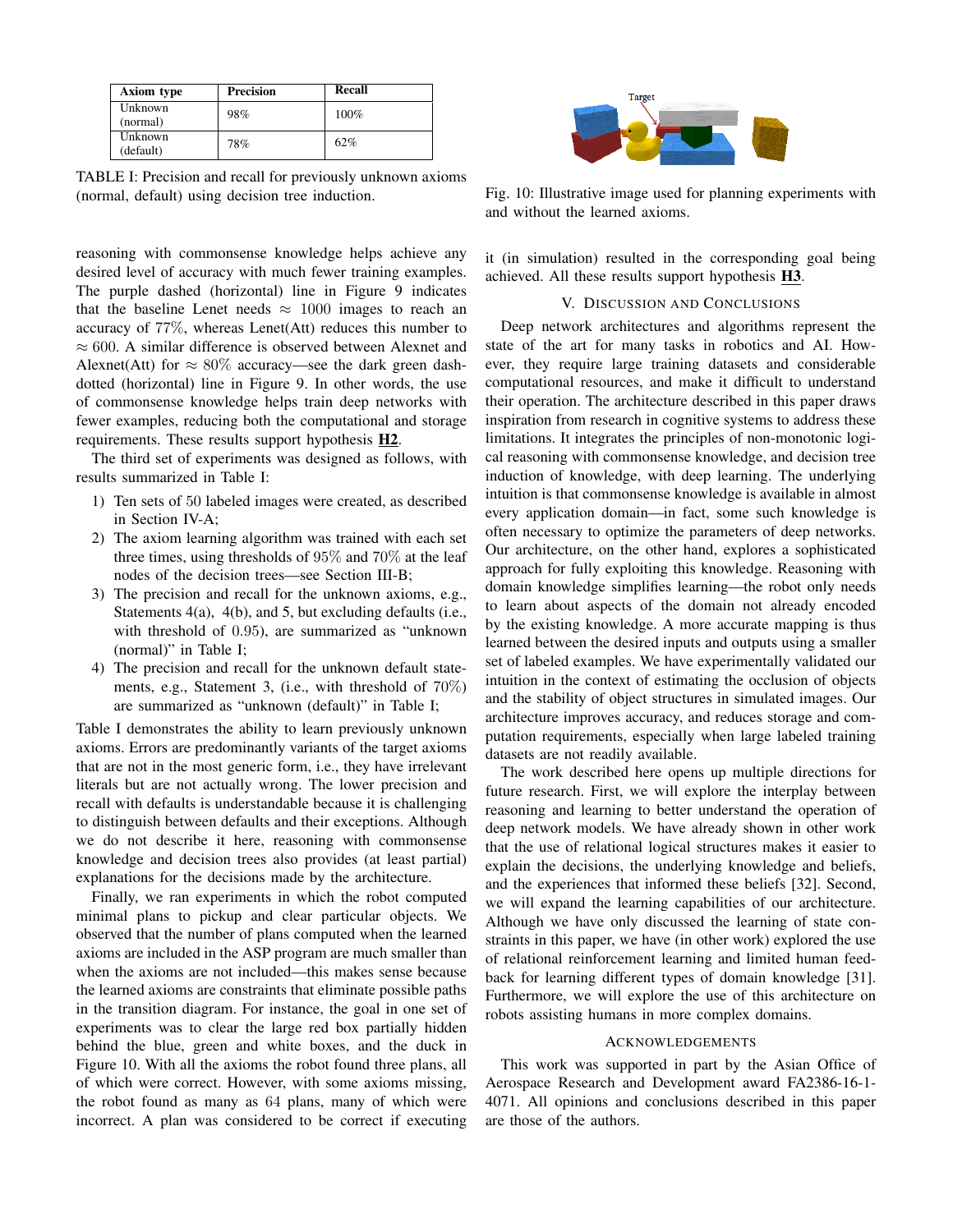| Axiom type           | <b>Precision</b> | Recall |
|----------------------|------------------|--------|
| Unknown<br>(normal)  | 98%              | 100%   |
| Unknown<br>(default) | 78%              | 62%    |

TABLE I: Precision and recall for previously unknown axioms (normal, default) using decision tree induction.

reasoning with commonsense knowledge helps achieve any desired level of accuracy with much fewer training examples. The purple dashed (horizontal) line in Figure 9 indicates that the baseline Lenet needs  $\approx 1000$  images to reach an accuracy of  $77\%$ , whereas Lenet(Att) reduces this number to  $\approx 600$ . A similar difference is observed between Alexnet and Alexnet(Att) for  $\approx 80\%$  accuracy—see the dark green dashdotted (horizontal) line in Figure 9. In other words, the use of commonsense knowledge helps train deep networks with fewer examples, reducing both the computational and storage requirements. These results support hypothesis H2.

The third set of experiments was designed as follows, with results summarized in Table I:

- 1) Ten sets of 50 labeled images were created, as described in Section IV-A;
- 2) The axiom learning algorithm was trained with each set three times, using thresholds of  $95\%$  and  $70\%$  at the leaf nodes of the decision trees—see Section III-B;
- 3) The precision and recall for the unknown axioms, e.g., Statements  $4(a)$ ,  $4(b)$ , and 5, but excluding defaults (i.e., with threshold of 0.95), are summarized as "unknown (normal)" in Table I;
- 4) The precision and recall for the unknown default statements, e.g., Statement 3, (i.e., with threshold of  $70\%$ ) are summarized as "unknown (default)" in Table I;

Table I demonstrates the ability to learn previously unknown axioms. Errors are predominantly variants of the target axioms that are not in the most generic form, i.e., they have irrelevant literals but are not actually wrong. The lower precision and recall with defaults is understandable because it is challenging to distinguish between defaults and their exceptions. Although we do not describe it here, reasoning with commonsense knowledge and decision trees also provides (at least partial) explanations for the decisions made by the architecture.

Finally, we ran experiments in which the robot computed minimal plans to pickup and clear particular objects. We observed that the number of plans computed when the learned axioms are included in the ASP program are much smaller than when the axioms are not included—this makes sense because the learned axioms are constraints that eliminate possible paths in the transition diagram. For instance, the goal in one set of experiments was to clear the large red box partially hidden behind the blue, green and white boxes, and the duck in Figure 10. With all the axioms the robot found three plans, all of which were correct. However, with some axioms missing, the robot found as many as 64 plans, many of which were incorrect. A plan was considered to be correct if executing



Fig. 10: Illustrative image used for planning experiments with and without the learned axioms.

it (in simulation) resulted in the corresponding goal being achieved. All these results support hypothesis H3.

### V. DISCUSSION AND CONCLUSIONS

Deep network architectures and algorithms represent the state of the art for many tasks in robotics and AI. However, they require large training datasets and considerable computational resources, and make it difficult to understand their operation. The architecture described in this paper draws inspiration from research in cognitive systems to address these limitations. It integrates the principles of non-monotonic logical reasoning with commonsense knowledge, and decision tree induction of knowledge, with deep learning. The underlying intuition is that commonsense knowledge is available in almost every application domain—in fact, some such knowledge is often necessary to optimize the parameters of deep networks. Our architecture, on the other hand, explores a sophisticated approach for fully exploiting this knowledge. Reasoning with domain knowledge simplifies learning—the robot only needs to learn about aspects of the domain not already encoded by the existing knowledge. A more accurate mapping is thus learned between the desired inputs and outputs using a smaller set of labeled examples. We have experimentally validated our intuition in the context of estimating the occlusion of objects and the stability of object structures in simulated images. Our architecture improves accuracy, and reduces storage and computation requirements, especially when large labeled training datasets are not readily available.

The work described here opens up multiple directions for future research. First, we will explore the interplay between reasoning and learning to better understand the operation of deep network models. We have already shown in other work that the use of relational logical structures makes it easier to explain the decisions, the underlying knowledge and beliefs, and the experiences that informed these beliefs [32]. Second, we will expand the learning capabilities of our architecture. Although we have only discussed the learning of state constraints in this paper, we have (in other work) explored the use of relational reinforcement learning and limited human feedback for learning different types of domain knowledge [31]. Furthermore, we will explore the use of this architecture on robots assisting humans in more complex domains.

## **ACKNOWLEDGEMENTS**

This work was supported in part by the Asian Office of Aerospace Research and Development award FA2386-16-1-4071. All opinions and conclusions described in this paper are those of the authors.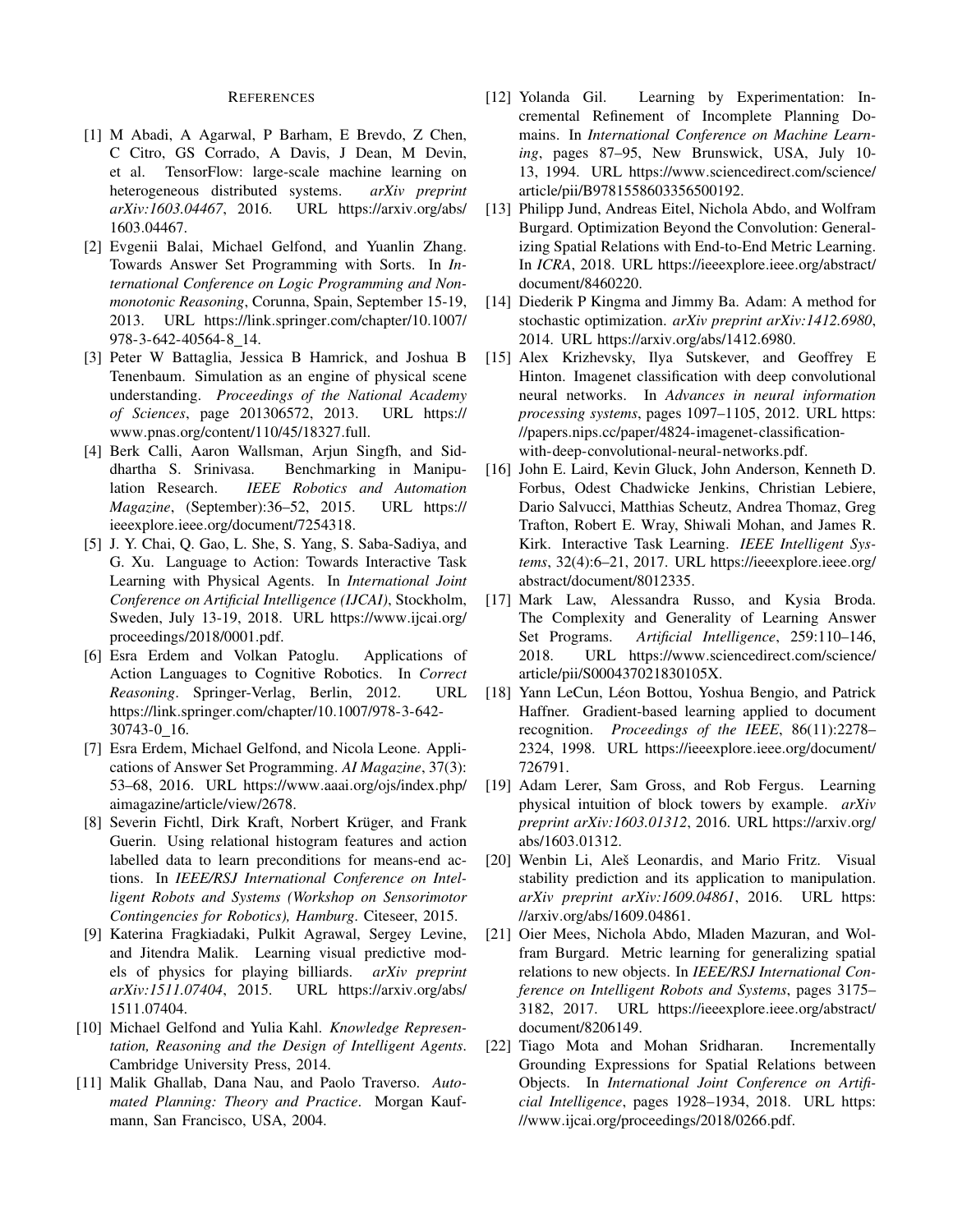### **REFERENCES**

- [1] M Abadi, A Agarwal, P Barham, E Brevdo, Z Chen, C Citro, GS Corrado, A Davis, J Dean, M Devin, TensorFlow: large-scale machine learning on et al. heterogeneous distributed systems. arXiv preprint arXiv:1603.04467, 2016. URL https://arxiv.org/abs/ 1603.04467.
- [2] Evgenii Balai, Michael Gelfond, and Yuanlin Zhang. Towards Answer Set Programming with Sorts. In International Conference on Logic Programming and Nonmonotonic Reasoning, Corunna, Spain, September 15-19, URL https://link.springer.com/chapter/10.1007/ 2013. 978-3-642-40564-8 14.
- [3] Peter W Battaglia, Jessica B Hamrick, and Joshua B Tenenbaum. Simulation as an engine of physical scene understanding. Proceedings of the National Academy of Sciences, page 201306572, 2013. URL https:// www.pnas.org/content/110/45/18327.full.
- [4] Berk Calli, Aaron Wallsman, Arjun Singfh, and Siddhartha S. Srinivasa. Benchmarking in Manipulation Research. IEEE Robotics and Automation Magazine, (September):36-52, 2015. URL https:// ieeexplore.ieee.org/document/7254318.
- [5] J. Y. Chai, Q. Gao, L. She, S. Yang, S. Saba-Sadiya, and G. Xu. Language to Action: Towards Interactive Task Learning with Physical Agents. In International Joint Conference on Artificial Intelligence (IJCAI), Stockholm, Sweden, July 13-19, 2018. URL https://www.ijcai.org/ proceedings/2018/0001.pdf.
- [6] Esra Erdem and Volkan Patoglu. Applications of Action Languages to Cognitive Robotics. In Correct Reasoning. Springer-Verlag, Berlin, 2012. **URL** https://link.springer.com/chapter/10.1007/978-3-642-30743-0 16.
- [7] Esra Erdem, Michael Gelfond, and Nicola Leone. Applications of Answer Set Programming. AI Magazine, 37(3): 53-68, 2016. URL https://www.aaai.org/ojs/index.php/ aimagazine/article/view/2678.
- [8] Severin Fichtl, Dirk Kraft, Norbert Krüger, and Frank Guerin. Using relational histogram features and action labelled data to learn preconditions for means-end actions. In IEEE/RSJ International Conference on Intelligent Robots and Systems (Workshop on Sensorimotor Contingencies for Robotics), Hamburg. Citeseer, 2015.
- [9] Katerina Fragkiadaki, Pulkit Agrawal, Sergey Levine, and Jitendra Malik. Learning visual predictive models of physics for playing billiards. arXiv preprint arXiv:1511.07404, 2015. URL https://arxiv.org/abs/ 1511.07404.
- [10] Michael Gelfond and Yulia Kahl. Knowledge Representation, Reasoning and the Design of Intelligent Agents. Cambridge University Press, 2014.
- [11] Malik Ghallab, Dana Nau, and Paolo Traverso. Automated Planning: Theory and Practice. Morgan Kaufmann, San Francisco, USA, 2004.
- [12] Yolanda Gil. Learning by Experimentation: Incremental Refinement of Incomplete Planning Domains. In International Conference on Machine Learning, pages 87-95, New Brunswick, USA, July 10-13, 1994. URL https://www.sciencedirect.com/science/ article/pii/B9781558603356500192.
- [13] Philipp Jund, Andreas Eitel, Nichola Abdo, and Wolfram Burgard. Optimization Beyond the Convolution: Generalizing Spatial Relations with End-to-End Metric Learning. In ICRA, 2018. URL https://ieeexplore.ieee.org/abstract/ document/8460220.
- [14] Diederik P Kingma and Jimmy Ba. Adam: A method for stochastic optimization. arXiv preprint arXiv:1412.6980, 2014. URL https://arxiv.org/abs/1412.6980.
- [15] Alex Krizhevsky, Ilya Sutskever, and Geoffrey E Hinton. Imagenet classification with deep convolutional neural networks. In Advances in neural information *processing systems, pages 1097–1105, 2012. URL https:* //papers.nips.cc/paper/4824-imagenet-classificationwith-deep-convolutional-neural-networks.pdf.
- [16] John E. Laird, Kevin Gluck, John Anderson, Kenneth D. Forbus, Odest Chadwicke Jenkins, Christian Lebiere, Dario Salvucci, Matthias Scheutz, Andrea Thomaz, Greg Trafton, Robert E. Wray, Shiwali Mohan, and James R. Kirk. Interactive Task Learning. IEEE Intelligent Systems, 32(4):6-21, 2017. URL https://ieeexplore.ieee.org/ abstract/document/8012335.
- [17] Mark Law, Alessandra Russo, and Kysia Broda. The Complexity and Generality of Learning Answer Artificial Intelligence, 259:110-146, Set Programs. 2018. URL https://www.sciencedirect.com/science/ article/pii/S000437021830105X.
- [18] Yann LeCun, Léon Bottou, Yoshua Bengio, and Patrick Haffner. Gradient-based learning applied to document recognition. Proceedings of the IEEE, 86(11):2278– 2324, 1998. URL https://ieeexplore.ieee.org/document/ 726791.
- [19] Adam Lerer, Sam Gross, and Rob Fergus. Learning physical intuition of block towers by example. arXiv preprint arXiv:1603.01312, 2016. URL https://arxiv.org/ abs/1603.01312.
- [20] Wenbin Li, Aleš Leonardis, and Mario Fritz. Visual stability prediction and its application to manipulation. arXiv preprint arXiv:1609.04861, 2016. URL https: //arxiv.org/abs/1609.04861.
- [21] Oier Mees, Nichola Abdo, Mladen Mazuran, and Wolfram Burgard. Metric learning for generalizing spatial relations to new objects. In IEEE/RSJ International Conference on Intelligent Robots and Systems, pages 3175– 3182, 2017. URL https://ieeexplore.ieee.org/abstract/ document/8206149.
- [22] Tiago Mota and Mohan Sridharan. Incrementally Grounding Expressions for Spatial Relations between Objects. In International Joint Conference on Artificial Intelligence, pages 1928-1934, 2018. URL https: //www.ijcai.org/proceedings/2018/0266.pdf.